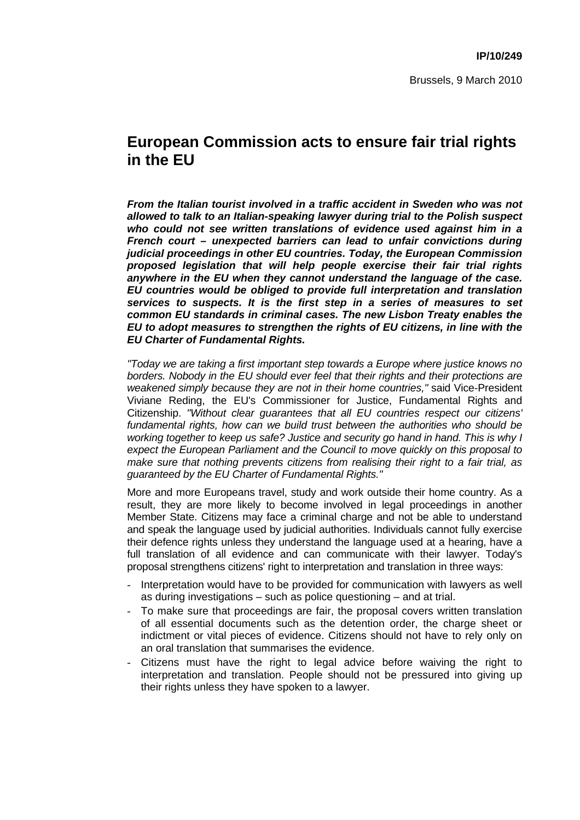## **European Commission acts to ensure fair trial rights in the EU**

*From the Italian tourist involved in a traffic accident in Sweden who was not allowed to talk to an Italian-speaking lawyer during trial to the Polish suspect who could not see written translations of evidence used against him in a French court – unexpected barriers can lead to unfair convictions during judicial proceedings in other EU countries. Today, the European Commission proposed legislation that will help people exercise their fair trial rights anywhere in the EU when they cannot understand the language of the case. EU countries would be obliged to provide full interpretation and translation services to suspects. It is the first step in a series of measures to set common EU standards in criminal cases. The new Lisbon Treaty enables the EU to adopt measures to strengthen the rights of EU citizens, in line with the EU Charter of Fundamental Rights.* 

*"Today we are taking a first important step towards a Europe where justice knows no borders. Nobody in the EU should ever feel that their rights and their protections are weakened simply because they are not in their home countries,"* said Vice-President Viviane Reding, the EU's Commissioner for Justice, Fundamental Rights and Citizenship. *"Without clear guarantees that all EU countries respect our citizens' fundamental rights, how can we build trust between the authorities who should be working together to keep us safe? Justice and security go hand in hand. This is why I expect the European Parliament and the Council to move quickly on this proposal to make sure that nothing prevents citizens from realising their right to a fair trial, as guaranteed by the EU Charter of Fundamental Rights."* 

More and more Europeans travel, study and work outside their home country. As a result, they are more likely to become involved in legal proceedings in another Member State. Citizens may face a criminal charge and not be able to understand and speak the language used by judicial authorities. Individuals cannot fully exercise their defence rights unless they understand the language used at a hearing, have a full translation of all evidence and can communicate with their lawyer. Today's proposal strengthens citizens' right to interpretation and translation in three ways:

- Interpretation would have to be provided for communication with lawyers as well as during investigations – such as police questioning – and at trial.
- To make sure that proceedings are fair, the proposal covers written translation of all essential documents such as the detention order, the charge sheet or indictment or vital pieces of evidence. Citizens should not have to rely only on an oral translation that summarises the evidence.
- Citizens must have the right to legal advice before waiving the right to interpretation and translation. People should not be pressured into giving up their rights unless they have spoken to a lawyer.